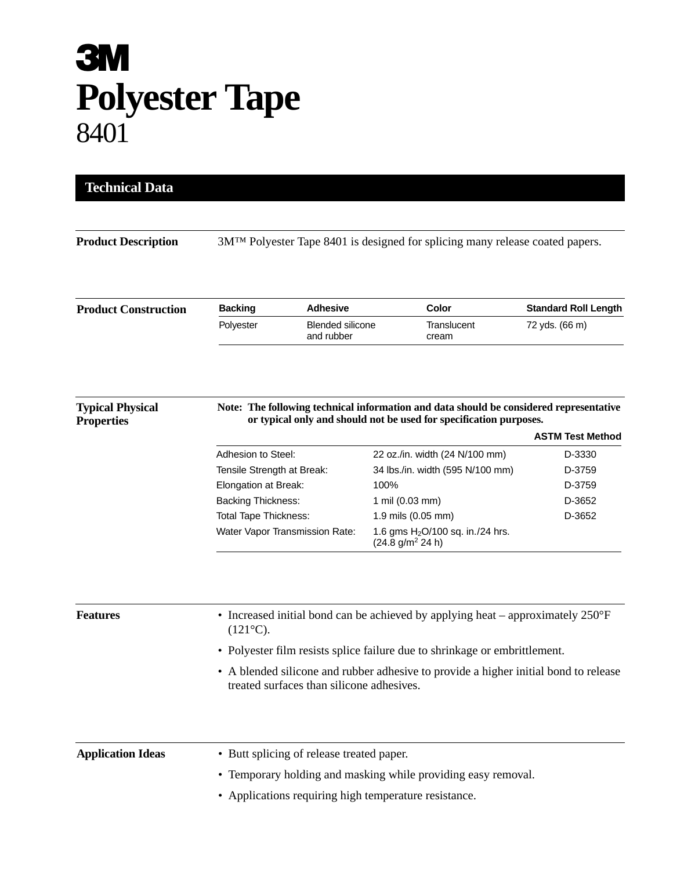## **3M Polyester Tape** 8401

| <b>Product Description</b>                   | 3M <sup>TM</sup> Polyester Tape 8401 is designed for splicing many release coated papers.                                                                    |                                       |                                                                              |                             |  |
|----------------------------------------------|--------------------------------------------------------------------------------------------------------------------------------------------------------------|---------------------------------------|------------------------------------------------------------------------------|-----------------------------|--|
| <b>Product Construction</b>                  | <b>Backing</b>                                                                                                                                               | <b>Adhesive</b>                       | Color                                                                        | <b>Standard Roll Length</b> |  |
|                                              | Polyester                                                                                                                                                    | <b>Blended silicone</b><br>and rubber | Translucent<br>cream                                                         | 72 yds. (66 m)              |  |
| <b>Typical Physical</b><br><b>Properties</b> | Note: The following technical information and data should be considered representative<br>or typical only and should not be used for specification purposes. |                                       |                                                                              |                             |  |
|                                              |                                                                                                                                                              |                                       |                                                                              | <b>ASTM Test Method</b>     |  |
|                                              | Adhesion to Steel:                                                                                                                                           |                                       | 22 oz./in. width (24 N/100 mm)                                               | D-3330                      |  |
|                                              | Tensile Strength at Break:                                                                                                                                   |                                       | 34 lbs./in. width (595 N/100 mm)                                             | D-3759                      |  |
|                                              | Elongation at Break:                                                                                                                                         | 100%                                  |                                                                              | D-3759                      |  |
|                                              | <b>Backing Thickness:</b>                                                                                                                                    |                                       | 1 mil (0.03 mm)<br>D-3652<br>1.9 mils (0.05 mm)                              |                             |  |
|                                              | <b>Total Tape Thickness:</b>                                                                                                                                 |                                       |                                                                              | D-3652                      |  |
|                                              | Water Vapor Transmission Rate:                                                                                                                               |                                       | 1.6 gms H <sub>2</sub> O/100 sq. in./24 hrs.<br>(24.8 g/m <sup>2</sup> 24 h) |                             |  |
| <b>Features</b>                              | • Increased initial bond can be achieved by applying heat – approximately $250^{\circ}F$<br>$(121^{\circ}C).$                                                |                                       |                                                                              |                             |  |
|                                              | • Polyester film resists splice failure due to shrinkage or embrittlement.                                                                                   |                                       |                                                                              |                             |  |
|                                              | A blended silicone and rubber adhesive to provide a higher initial bond to release<br>treated surfaces than silicone adhesives.                              |                                       |                                                                              |                             |  |
|                                              |                                                                                                                                                              |                                       |                                                                              |                             |  |
| <b>Application Ideas</b>                     | • Butt splicing of release treated paper.                                                                                                                    |                                       |                                                                              |                             |  |
|                                              |                                                                                                                                                              |                                       |                                                                              |                             |  |
|                                              |                                                                                                                                                              |                                       | • Temporary holding and masking while providing easy removal.                |                             |  |